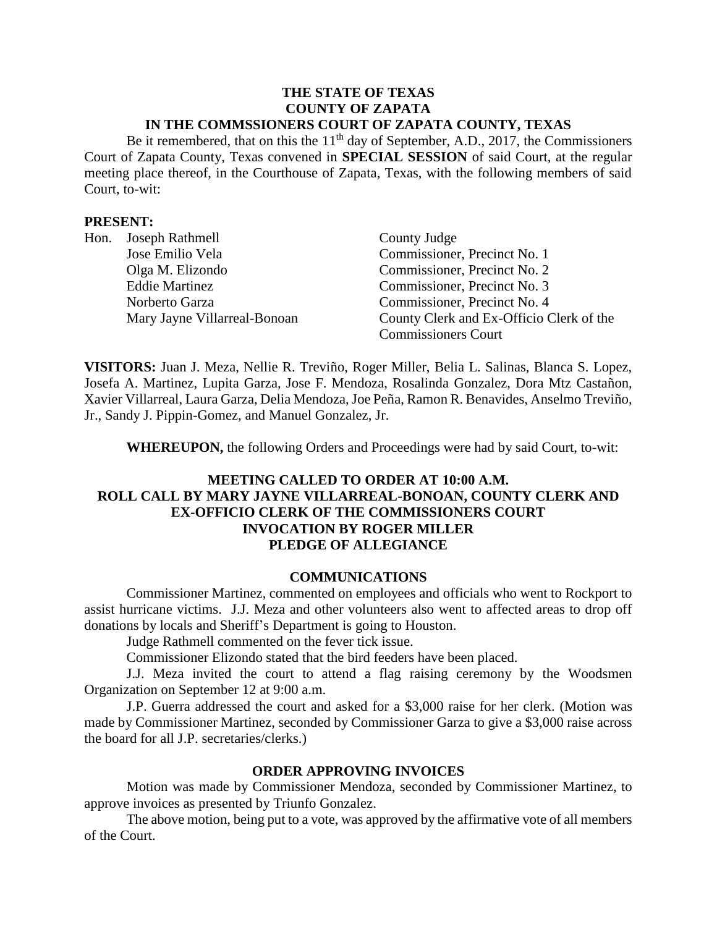#### **THE STATE OF TEXAS COUNTY OF ZAPATA IN THE COMMSSIONERS COURT OF ZAPATA COUNTY, TEXAS**

Be it remembered, that on this the  $11<sup>th</sup>$  day of September, A.D., 2017, the Commissioners Court of Zapata County, Texas convened in **SPECIAL SESSION** of said Court, at the regular meeting place thereof, in the Courthouse of Zapata, Texas, with the following members of said Court, to-wit:

## **PRESENT:**

| Hon. | Joseph Rathmell              | County Judge                             |
|------|------------------------------|------------------------------------------|
|      | Jose Emilio Vela             | Commissioner, Precinct No. 1             |
|      | Olga M. Elizondo             | Commissioner, Precinct No. 2             |
|      | <b>Eddie Martinez</b>        | Commissioner, Precinct No. 3             |
|      | Norberto Garza               | Commissioner, Precinct No. 4             |
|      | Mary Jayne Villarreal-Bonoan | County Clerk and Ex-Officio Clerk of the |
|      |                              | <b>Commissioners Court</b>               |

**VISITORS:** Juan J. Meza, Nellie R. Treviño, Roger Miller, Belia L. Salinas, Blanca S. Lopez, Josefa A. Martinez, Lupita Garza, Jose F. Mendoza, Rosalinda Gonzalez, Dora Mtz Castañon, Xavier Villarreal, Laura Garza, Delia Mendoza, Joe Peña, Ramon R. Benavides, Anselmo Treviño, Jr., Sandy J. Pippin-Gomez, and Manuel Gonzalez, Jr.

**WHEREUPON,** the following Orders and Proceedings were had by said Court, to-wit:

# **MEETING CALLED TO ORDER AT 10:00 A.M. ROLL CALL BY MARY JAYNE VILLARREAL-BONOAN, COUNTY CLERK AND EX-OFFICIO CLERK OF THE COMMISSIONERS COURT INVOCATION BY ROGER MILLER PLEDGE OF ALLEGIANCE**

#### **COMMUNICATIONS**

Commissioner Martinez, commented on employees and officials who went to Rockport to assist hurricane victims. J.J. Meza and other volunteers also went to affected areas to drop off donations by locals and Sheriff's Department is going to Houston.

Judge Rathmell commented on the fever tick issue.

Commissioner Elizondo stated that the bird feeders have been placed.

J.J. Meza invited the court to attend a flag raising ceremony by the Woodsmen Organization on September 12 at 9:00 a.m.

J.P. Guerra addressed the court and asked for a \$3,000 raise for her clerk. (Motion was made by Commissioner Martinez, seconded by Commissioner Garza to give a \$3,000 raise across the board for all J.P. secretaries/clerks.)

#### **ORDER APPROVING INVOICES**

Motion was made by Commissioner Mendoza, seconded by Commissioner Martinez, to approve invoices as presented by Triunfo Gonzalez.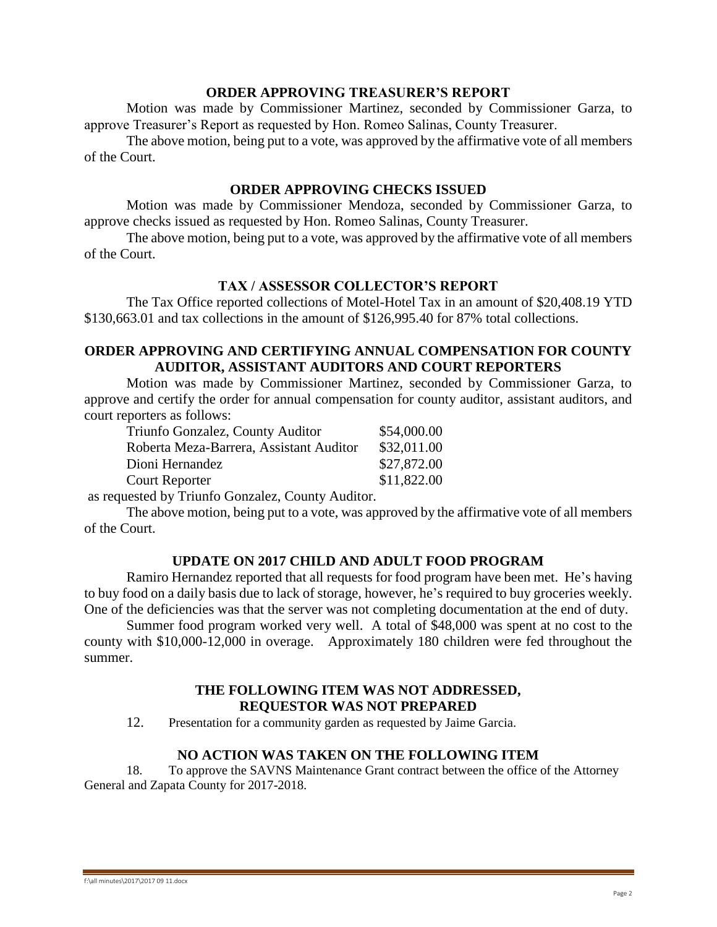#### **ORDER APPROVING TREASURER'S REPORT**

Motion was made by Commissioner Martinez, seconded by Commissioner Garza, to approve Treasurer's Report as requested by Hon. Romeo Salinas, County Treasurer.

The above motion, being put to a vote, was approved by the affirmative vote of all members of the Court.

## **ORDER APPROVING CHECKS ISSUED**

Motion was made by Commissioner Mendoza, seconded by Commissioner Garza, to approve checks issued as requested by Hon. Romeo Salinas, County Treasurer.

The above motion, being put to a vote, was approved by the affirmative vote of all members of the Court.

## **TAX / ASSESSOR COLLECTOR'S REPORT**

The Tax Office reported collections of Motel-Hotel Tax in an amount of \$20,408.19 YTD \$130,663.01 and tax collections in the amount of \$126,995.40 for 87% total collections.

# **ORDER APPROVING AND CERTIFYING ANNUAL COMPENSATION FOR COUNTY AUDITOR, ASSISTANT AUDITORS AND COURT REPORTERS**

Motion was made by Commissioner Martinez, seconded by Commissioner Garza, to approve and certify the order for annual compensation for county auditor, assistant auditors, and court reporters as follows:

| Triunfo Gonzalez, County Auditor        | \$54,000.00 |
|-----------------------------------------|-------------|
| Roberta Meza-Barrera, Assistant Auditor | \$32,011.00 |
| Dioni Hernandez                         | \$27,872.00 |
| Court Reporter                          | \$11,822.00 |

as requested by Triunfo Gonzalez, County Auditor.

The above motion, being put to a vote, was approved by the affirmative vote of all members of the Court.

## **UPDATE ON 2017 CHILD AND ADULT FOOD PROGRAM**

Ramiro Hernandez reported that all requests for food program have been met. He's having to buy food on a daily basis due to lack of storage, however, he's required to buy groceries weekly. One of the deficiencies was that the server was not completing documentation at the end of duty.

Summer food program worked very well. A total of \$48,000 was spent at no cost to the county with \$10,000-12,000 in overage. Approximately 180 children were fed throughout the summer.

## **THE FOLLOWING ITEM WAS NOT ADDRESSED, REQUESTOR WAS NOT PREPARED**

12. Presentation for a community garden as requested by Jaime Garcia.

## **NO ACTION WAS TAKEN ON THE FOLLOWING ITEM**

18. To approve the SAVNS Maintenance Grant contract between the office of the Attorney General and Zapata County for 2017-2018.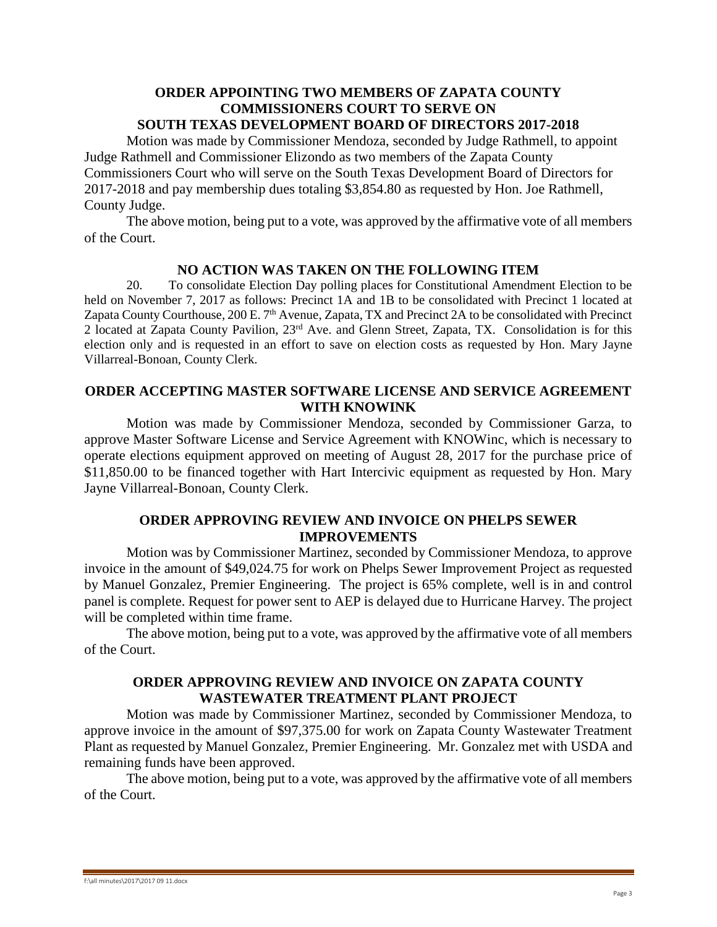# **ORDER APPOINTING TWO MEMBERS OF ZAPATA COUNTY COMMISSIONERS COURT TO SERVE ON**

# **SOUTH TEXAS DEVELOPMENT BOARD OF DIRECTORS 2017-2018**

Motion was made by Commissioner Mendoza, seconded by Judge Rathmell, to appoint Judge Rathmell and Commissioner Elizondo as two members of the Zapata County Commissioners Court who will serve on the South Texas Development Board of Directors for 2017-2018 and pay membership dues totaling \$3,854.80 as requested by Hon. Joe Rathmell, County Judge.

The above motion, being put to a vote, was approved by the affirmative vote of all members of the Court.

# **NO ACTION WAS TAKEN ON THE FOLLOWING ITEM**

20. To consolidate Election Day polling places for Constitutional Amendment Election to be held on November 7, 2017 as follows: Precinct 1A and 1B to be consolidated with Precinct 1 located at Zapata County Courthouse, 200 E. 7<sup>th</sup> Avenue, Zapata, TX and Precinct 2A to be consolidated with Precinct 2 located at Zapata County Pavilion, 23rd Ave. and Glenn Street, Zapata, TX. Consolidation is for this election only and is requested in an effort to save on election costs as requested by Hon. Mary Jayne Villarreal-Bonoan, County Clerk.

## **ORDER ACCEPTING MASTER SOFTWARE LICENSE AND SERVICE AGREEMENT WITH KNOWINK**

Motion was made by Commissioner Mendoza, seconded by Commissioner Garza, to approve Master Software License and Service Agreement with KNOWinc, which is necessary to operate elections equipment approved on meeting of August 28, 2017 for the purchase price of \$11,850.00 to be financed together with Hart Intercivic equipment as requested by Hon. Mary Jayne Villarreal-Bonoan, County Clerk.

# **ORDER APPROVING REVIEW AND INVOICE ON PHELPS SEWER IMPROVEMENTS**

Motion was by Commissioner Martinez, seconded by Commissioner Mendoza, to approve invoice in the amount of \$49,024.75 for work on Phelps Sewer Improvement Project as requested by Manuel Gonzalez, Premier Engineering. The project is 65% complete, well is in and control panel is complete. Request for power sent to AEP is delayed due to Hurricane Harvey. The project will be completed within time frame.

The above motion, being put to a vote, was approved by the affirmative vote of all members of the Court.

# **ORDER APPROVING REVIEW AND INVOICE ON ZAPATA COUNTY WASTEWATER TREATMENT PLANT PROJECT**

Motion was made by Commissioner Martinez, seconded by Commissioner Mendoza, to approve invoice in the amount of \$97,375.00 for work on Zapata County Wastewater Treatment Plant as requested by Manuel Gonzalez, Premier Engineering. Mr. Gonzalez met with USDA and remaining funds have been approved.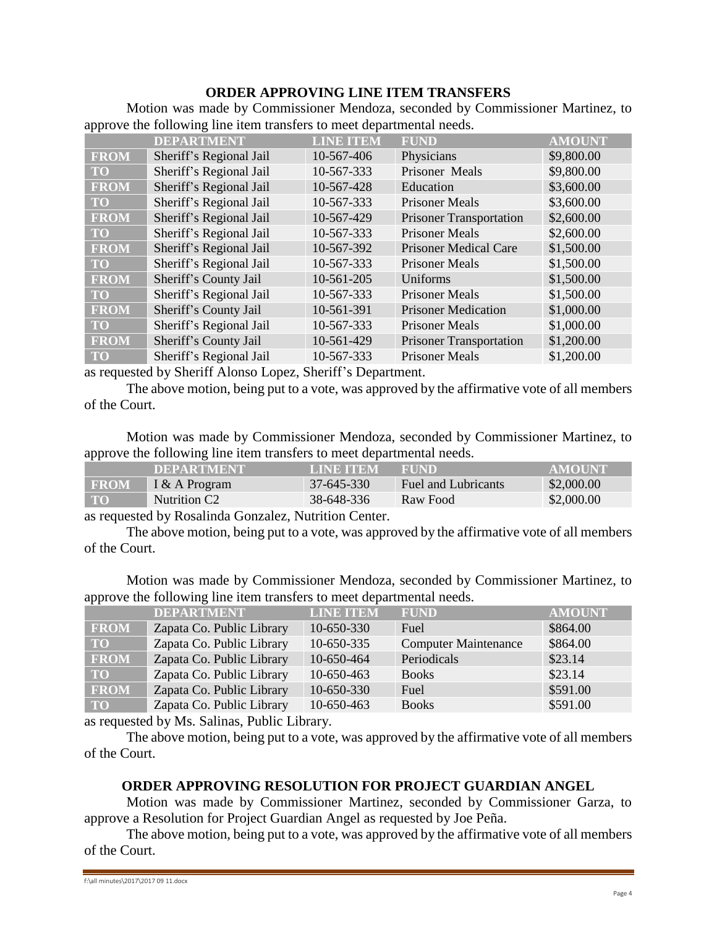# **ORDER APPROVING LINE ITEM TRANSFERS**

Motion was made by Commissioner Mendoza, seconded by Commissioner Martinez, to approve the following line item transfers to meet departmental needs.

|             | <b>DEPARTMENT</b>       | <b>LINE ITEM</b> | <b>FUND</b>                    | <b>AMOUNT</b> |
|-------------|-------------------------|------------------|--------------------------------|---------------|
| <b>FROM</b> | Sheriff's Regional Jail | 10-567-406       | Physicians                     | \$9,800.00    |
| <b>TO</b>   | Sheriff's Regional Jail | 10-567-333       | Prisoner Meals                 | \$9,800.00    |
| <b>FROM</b> | Sheriff's Regional Jail | 10-567-428       | Education                      | \$3,600.00    |
| <b>TO</b>   | Sheriff's Regional Jail | 10-567-333       | <b>Prisoner Meals</b>          | \$3,600.00    |
| <b>FROM</b> | Sheriff's Regional Jail | 10-567-429       | <b>Prisoner Transportation</b> | \$2,600.00    |
| <b>TO</b>   | Sheriff's Regional Jail | 10-567-333       | <b>Prisoner Meals</b>          | \$2,600.00    |
| <b>FROM</b> | Sheriff's Regional Jail | 10-567-392       | <b>Prisoner Medical Care</b>   | \$1,500.00    |
| <b>TO</b>   | Sheriff's Regional Jail | 10-567-333       | <b>Prisoner Meals</b>          | \$1,500.00    |
| <b>FROM</b> | Sheriff's County Jail   | 10-561-205       | Uniforms                       | \$1,500.00    |
| <b>TO</b>   | Sheriff's Regional Jail | 10-567-333       | <b>Prisoner Meals</b>          | \$1,500.00    |
| <b>FROM</b> | Sheriff's County Jail   | 10-561-391       | <b>Prisoner Medication</b>     | \$1,000.00    |
| <b>TO</b>   | Sheriff's Regional Jail | 10-567-333       | Prisoner Meals                 | \$1,000.00    |
| <b>FROM</b> | Sheriff's County Jail   | 10-561-429       | <b>Prisoner Transportation</b> | \$1,200.00    |
| <b>TO</b>   | Sheriff's Regional Jail | 10-567-333       | <b>Prisoner Meals</b>          | \$1,200.00    |

as requested by Sheriff Alonso Lopez, Sheriff's Department.

The above motion, being put to a vote, was approved by the affirmative vote of all members of the Court.

Motion was made by Commissioner Mendoza, seconded by Commissioner Martinez, to approve the following line item transfers to meet departmental needs.

|             | <b>DEPARTMENT</b>        | <b>LINE ITEM</b> | <b>FUND</b>         | <b>AMOUNT</b> |
|-------------|--------------------------|------------------|---------------------|---------------|
| <b>FROM</b> | I & A Program            | 37-645-330       | Fuel and Lubricants | \$2,000.00    |
| <b>TO</b>   | Nutrition C <sub>2</sub> | 38-648-336       | Raw Food            | \$2,000.00    |

as requested by Rosalinda Gonzalez, Nutrition Center.

The above motion, being put to a vote, was approved by the affirmative vote of all members of the Court.

Motion was made by Commissioner Mendoza, seconded by Commissioner Martinez, to approve the following line item transfers to meet departmental needs.

|              | <b>DEPARTMENT</b>         | <b>LINE ITEM</b> | <b>FUND</b>                 | <b>AMOUNT</b> |
|--------------|---------------------------|------------------|-----------------------------|---------------|
| <b>FROM</b>  | Zapata Co. Public Library | 10-650-330       | Fuel                        | \$864.00      |
| TO <b>TO</b> | Zapata Co. Public Library | 10-650-335       | <b>Computer Maintenance</b> | \$864.00      |
| <b>FROM</b>  | Zapata Co. Public Library | 10-650-464       | Periodicals                 | \$23.14       |
| TO           | Zapata Co. Public Library | 10-650-463       | <b>Books</b>                | \$23.14       |
| <b>FROM</b>  | Zapata Co. Public Library | 10-650-330       | Fuel                        | \$591.00      |
| <b>TO</b>    | Zapata Co. Public Library | 10-650-463       | <b>Books</b>                | \$591.00      |

as requested by Ms. Salinas, Public Library.

The above motion, being put to a vote, was approved by the affirmative vote of all members of the Court.

## **ORDER APPROVING RESOLUTION FOR PROJECT GUARDIAN ANGEL**

Motion was made by Commissioner Martinez, seconded by Commissioner Garza, to approve a Resolution for Project Guardian Angel as requested by Joe Peña.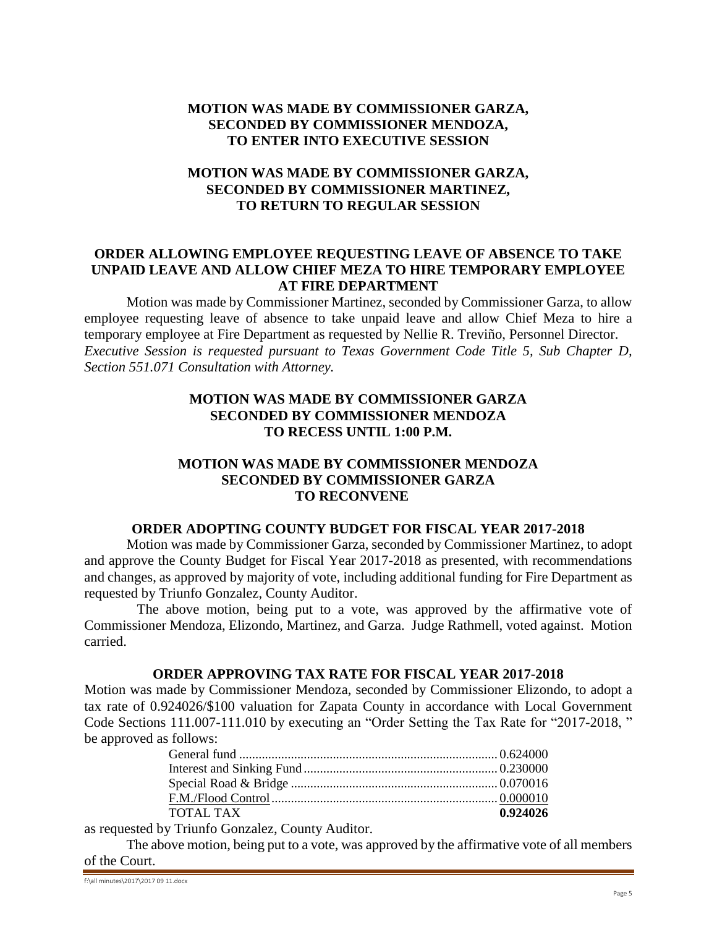# **MOTION WAS MADE BY COMMISSIONER GARZA, SECONDED BY COMMISSIONER MENDOZA, TO ENTER INTO EXECUTIVE SESSION**

# **MOTION WAS MADE BY COMMISSIONER GARZA, SECONDED BY COMMISSIONER MARTINEZ, TO RETURN TO REGULAR SESSION**

## **ORDER ALLOWING EMPLOYEE REQUESTING LEAVE OF ABSENCE TO TAKE UNPAID LEAVE AND ALLOW CHIEF MEZA TO HIRE TEMPORARY EMPLOYEE AT FIRE DEPARTMENT**

Motion was made by Commissioner Martinez, seconded by Commissioner Garza, to allow employee requesting leave of absence to take unpaid leave and allow Chief Meza to hire a temporary employee at Fire Department as requested by Nellie R. Treviño, Personnel Director. *Executive Session is requested pursuant to Texas Government Code Title 5, Sub Chapter D, Section 551.071 Consultation with Attorney.*

# **MOTION WAS MADE BY COMMISSIONER GARZA SECONDED BY COMMISSIONER MENDOZA TO RECESS UNTIL 1:00 P.M.**

# **MOTION WAS MADE BY COMMISSIONER MENDOZA SECONDED BY COMMISSIONER GARZA TO RECONVENE**

#### **ORDER ADOPTING COUNTY BUDGET FOR FISCAL YEAR 2017-2018**

Motion was made by Commissioner Garza, seconded by Commissioner Martinez, to adopt and approve the County Budget for Fiscal Year 2017-2018 as presented, with recommendations and changes, as approved by majority of vote, including additional funding for Fire Department as requested by Triunfo Gonzalez, County Auditor.

The above motion, being put to a vote, was approved by the affirmative vote of Commissioner Mendoza, Elizondo, Martinez, and Garza. Judge Rathmell, voted against. Motion carried.

## **ORDER APPROVING TAX RATE FOR FISCAL YEAR 2017-2018**

Motion was made by Commissioner Mendoza, seconded by Commissioner Elizondo, to adopt a tax rate of 0.924026/\$100 valuation for Zapata County in accordance with Local Government Code Sections 111.007-111.010 by executing an "Order Setting the Tax Rate for "2017-2018, " be approved as follows:

| TOTAL TAX | 0.924026 |
|-----------|----------|
|           |          |

as requested by Triunfo Gonzalez, County Auditor.